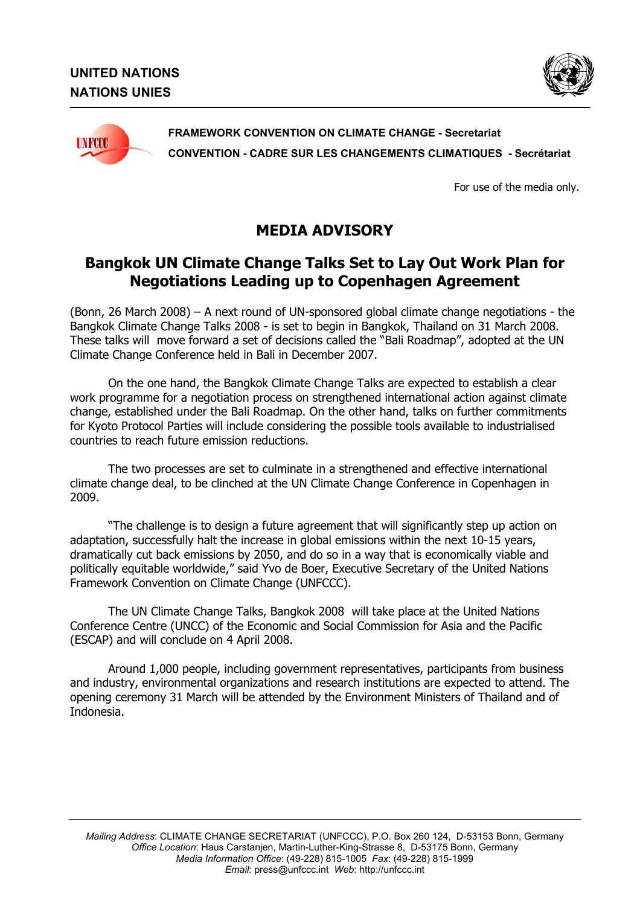



For use of the media only.

## **MEDIA ADVISORY**

## **Bangkok UN Climate Change Talks Set to Lay Out Work Plan for Negotiations Leading up to Copenhagen Agreement**

(Bonn, 26 March 2008) – A next round of UN-sponsored global climate change negotiations - the Bangkok Climate Change Talks 2008 - is set to begin in Bangkok, Thailand on 31 March 2008. These talks will move forward a set of decisions called the "Bali Roadmap", adopted at the UN Climate Change Conference held in Bali in December 2007.

On the one hand, the Bangkok Climate Change Talks are expected to establish a clear work programme for a negotiation process on strengthened international action against climate change, established under the Bali Roadmap. On the other hand, talks on further commitments for Kyoto Protocol Parties will include considering the possible tools available to industrialised countries to reach future emission reductions.

The two processes are set to culminate in a strengthened and effective international climate change deal, to be clinched at the UN Climate Change Conference in Copenhagen in 2009.

"The challenge is to design a future agreement that will significantly step up action on adaptation, successfully halt the increase in global emissions within the next 10-15 years, dramatically cut back emissions by 2050, and do so in a way that is economically viable and politically equitable worldwide," said Yvo de Boer, Executive Secretary of the United Nations Framework Convention on Climate Change (UNFCCC).

The UN Climate Change Talks, Bangkok 2008 will take place at the United Nations Conference Centre (UNCC) of the Economic and Social Commission for Asia and the Pacific (ESCAP) and will conclude on 4 April 2008.

Around 1,000 people, including government representatives, participants from business and industry, environmental organizations and research institutions are expected to attend. The opening ceremony 31 March will be attended by the Environment Ministers of Thailand and of Indonesia.